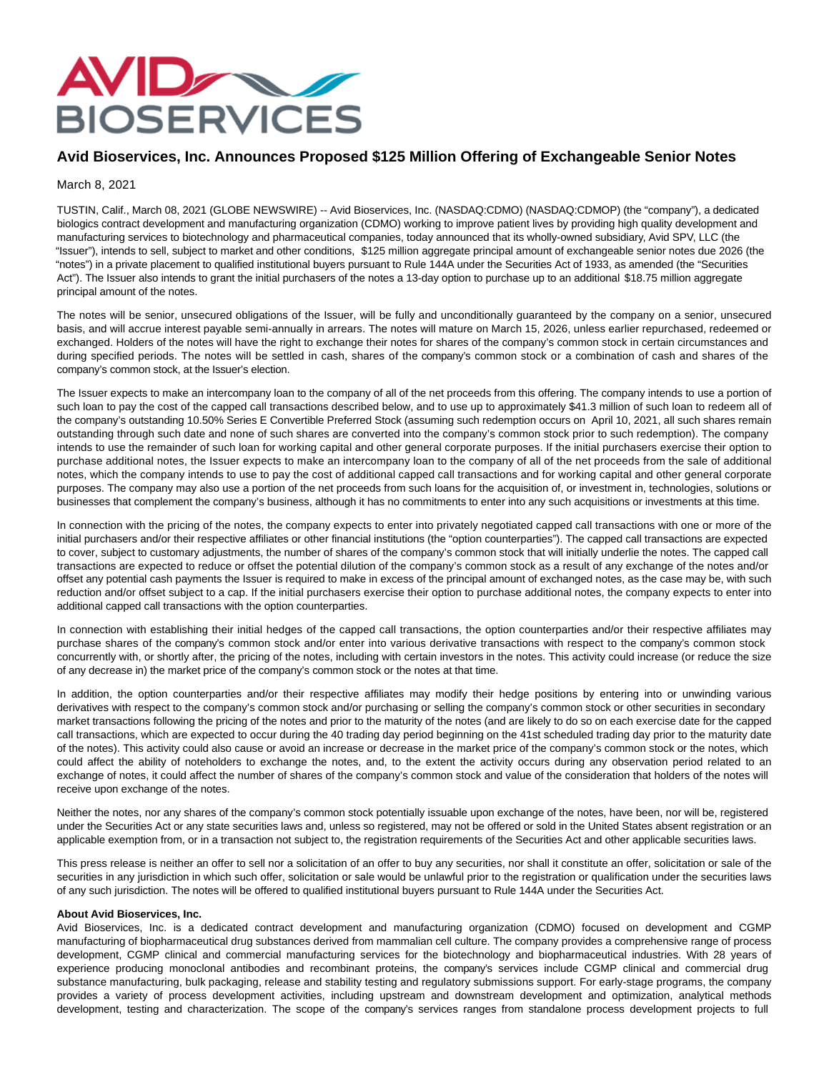

## **Avid Bioservices, Inc. Announces Proposed \$125 Million Offering of Exchangeable Senior Notes**

## March 8, 2021

TUSTIN, Calif., March 08, 2021 (GLOBE NEWSWIRE) -- Avid Bioservices, Inc. (NASDAQ:CDMO) (NASDAQ:CDMOP) (the "company"), a dedicated biologics contract development and manufacturing organization (CDMO) working to improve patient lives by providing high quality development and manufacturing services to biotechnology and pharmaceutical companies, today announced that its wholly-owned subsidiary, Avid SPV, LLC (the "Issuer"), intends to sell, subject to market and other conditions, \$125 million aggregate principal amount of exchangeable senior notes due 2026 (the "notes") in a private placement to qualified institutional buyers pursuant to Rule 144A under the Securities Act of 1933, as amended (the "Securities Act"). The Issuer also intends to grant the initial purchasers of the notes a 13-day option to purchase up to an additional \$18.75 million aggregate principal amount of the notes.

The notes will be senior, unsecured obligations of the Issuer, will be fully and unconditionally guaranteed by the company on a senior, unsecured basis, and will accrue interest payable semi-annually in arrears. The notes will mature on March 15, 2026, unless earlier repurchased, redeemed or exchanged. Holders of the notes will have the right to exchange their notes for shares of the company's common stock in certain circumstances and during specified periods. The notes will be settled in cash, shares of the company's common stock or a combination of cash and shares of the company's common stock, at the Issuer's election.

The Issuer expects to make an intercompany loan to the company of all of the net proceeds from this offering. The company intends to use a portion of such loan to pay the cost of the capped call transactions described below, and to use up to approximately \$41.3 million of such loan to redeem all of the company's outstanding 10.50% Series E Convertible Preferred Stock (assuming such redemption occurs on April 10, 2021, all such shares remain outstanding through such date and none of such shares are converted into the company's common stock prior to such redemption). The company intends to use the remainder of such loan for working capital and other general corporate purposes. If the initial purchasers exercise their option to purchase additional notes, the Issuer expects to make an intercompany loan to the company of all of the net proceeds from the sale of additional notes, which the company intends to use to pay the cost of additional capped call transactions and for working capital and other general corporate purposes. The company may also use a portion of the net proceeds from such loans for the acquisition of, or investment in, technologies, solutions or businesses that complement the company's business, although it has no commitments to enter into any such acquisitions or investments at this time.

In connection with the pricing of the notes, the company expects to enter into privately negotiated capped call transactions with one or more of the initial purchasers and/or their respective affiliates or other financial institutions (the "option counterparties"). The capped call transactions are expected to cover, subject to customary adjustments, the number of shares of the company's common stock that will initially underlie the notes. The capped call transactions are expected to reduce or offset the potential dilution of the company's common stock as a result of any exchange of the notes and/or offset any potential cash payments the Issuer is required to make in excess of the principal amount of exchanged notes, as the case may be, with such reduction and/or offset subject to a cap. If the initial purchasers exercise their option to purchase additional notes, the company expects to enter into additional capped call transactions with the option counterparties.

In connection with establishing their initial hedges of the capped call transactions, the option counterparties and/or their respective affiliates may purchase shares of the company's common stock and/or enter into various derivative transactions with respect to the company's common stock concurrently with, or shortly after, the pricing of the notes, including with certain investors in the notes. This activity could increase (or reduce the size of any decrease in) the market price of the company's common stock or the notes at that time.

In addition, the option counterparties and/or their respective affiliates may modify their hedge positions by entering into or unwinding various derivatives with respect to the company's common stock and/or purchasing or selling the company's common stock or other securities in secondary market transactions following the pricing of the notes and prior to the maturity of the notes (and are likely to do so on each exercise date for the capped call transactions, which are expected to occur during the 40 trading day period beginning on the 41st scheduled trading day prior to the maturity date of the notes). This activity could also cause or avoid an increase or decrease in the market price of the company's common stock or the notes, which could affect the ability of noteholders to exchange the notes, and, to the extent the activity occurs during any observation period related to an exchange of notes, it could affect the number of shares of the company's common stock and value of the consideration that holders of the notes will receive upon exchange of the notes.

Neither the notes, nor any shares of the company's common stock potentially issuable upon exchange of the notes, have been, nor will be, registered under the Securities Act or any state securities laws and, unless so registered, may not be offered or sold in the United States absent registration or an applicable exemption from, or in a transaction not subject to, the registration requirements of the Securities Act and other applicable securities laws.

This press release is neither an offer to sell nor a solicitation of an offer to buy any securities, nor shall it constitute an offer, solicitation or sale of the securities in any jurisdiction in which such offer, solicitation or sale would be unlawful prior to the registration or qualification under the securities laws of any such jurisdiction. The notes will be offered to qualified institutional buyers pursuant to Rule 144A under the Securities Act.

## **About Avid Bioservices, Inc.**

Avid Bioservices, Inc. is a dedicated contract development and manufacturing organization (CDMO) focused on development and CGMP manufacturing of biopharmaceutical drug substances derived from mammalian cell culture. The company provides a comprehensive range of process development, CGMP clinical and commercial manufacturing services for the biotechnology and biopharmaceutical industries. With 28 years of experience producing monoclonal antibodies and recombinant proteins, the company's services include CGMP clinical and commercial drug substance manufacturing, bulk packaging, release and stability testing and regulatory submissions support. For early-stage programs, the company provides a variety of process development activities, including upstream and downstream development and optimization, analytical methods development, testing and characterization. The scope of the company's services ranges from standalone process development projects to full